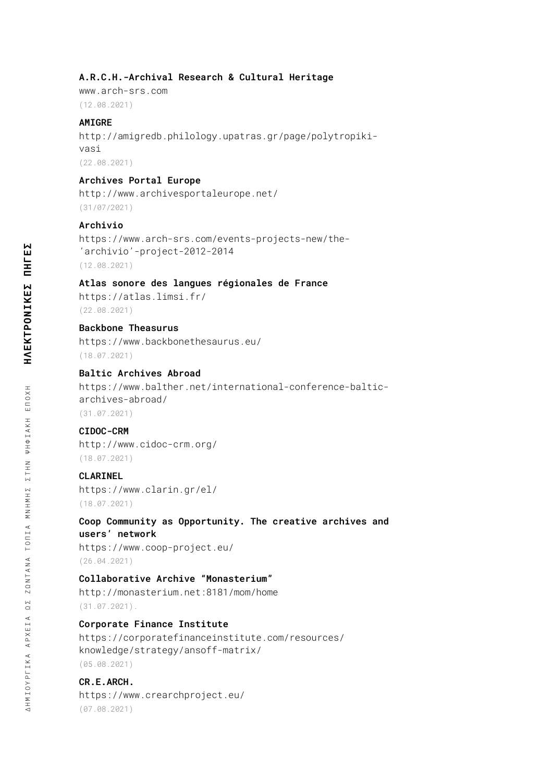#### **A.R.C.H.-Archival Research & Cultural Heritage**

www.arch-srs.com (12.08.2021)

#### **AMIGRE**

[http://amigredb.philology.upatras.gr/page/polytropiki](http://amigredb.philology.upatras.gr/page/polytropiki-vasi)[vasi](http://amigredb.philology.upatras.gr/page/polytropiki-vasi) (22.08.2021)

#### **Archives Portal Europe**

<http://www.archivesportaleurope.net/> (31/07/2021)

#### **Archivio**

https://www.arch-srs.com/events-projects-new/the- 'archivio'-project-2012-2014 (12.08.2021)

#### **Atlas sonore des langues régionales de France**

<https://atlas.limsi.fr/> (22.08.2021)

### **Backbone Theasurus**

<https://www.backbonethesaurus.eu/> (18.07.2021)

# **Baltic Archives Abroad**

[https://www.balther.net/international-conference-baltic](https://www.balther.net/international-conference-baltic-archives-abroad/)[archives-abroad/](https://www.balther.net/international-conference-baltic-archives-abroad/) (31.07.2021)

### **CIDOC-CRM**

<http://www.cidoc-crm.org/> (18.07.2021)

#### **CLARINEL**

<https://www.clarin.gr/el/> (18.07.2021)

### **Coop Community as Opportunity. The creative archives and users' network**

<https://www.coop-project.eu/> (26.04.2021)

#### **Collaborative Archive "Monasterium"**

<http://monasterium.net:8181/mom/home> (31.07.2021).

### **Corporate Finance Institute**

[https://corporatefinanceinstitute.com/resources/](https://corporatefinanceinstitute.com/resources/knowledge/strategy/ansoff-matrix/) [knowledge/strategy/ansoff-matrix/](https://corporatefinanceinstitute.com/resources/knowledge/strategy/ansoff-matrix/) (05.08.2021)

#### **CR.E.ARCH.**

<https://www.crearchproject.eu/> (07.08.2021)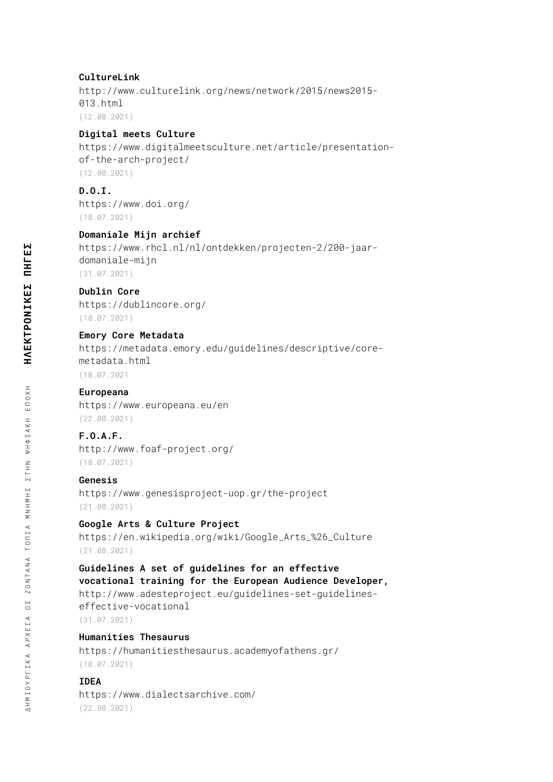### **CultureLink**

[http://www.culturelink.org/news/network/2015/news2015-](http://www.culturelink.org/news/network/2015/news2015-013.html) [013.html](http://www.culturelink.org/news/network/2015/news2015-013.html) (12.08.2021)

### **Digital meets Culture**

[https://www.digitalmeetsculture.net/article/presentation](https://www.digitalmeetsculture.net/article/presentation-of-the-arch-project/)[of-the-arch-project/](https://www.digitalmeetsculture.net/article/presentation-of-the-arch-project/) (12.08.2021)

**D.O.I.**  <https://www.doi.org/> (18.07.2021)

### **Domaniale Mijn archief**

[https://www.rhcl.nl/nl/ontdekken/projecten-2/200-jaar](https://www.rhcl.nl/nl/ontdekken/projecten-2/200-jaar-domaniale-mijn)[domaniale-mijn](https://www.rhcl.nl/nl/ontdekken/projecten-2/200-jaar-domaniale-mijn) (31.07.2021)

#### **Dublin Core**

<https://dublincore.org/> (18.07.2021)

#### **Emory Core Metadata**

[https://metadata.emory.edu/guidelines/descriptive/core](https://metadata.emory.edu/guidelines/descriptive/core-metadata.html)[metadata.html](https://metadata.emory.edu/guidelines/descriptive/core-metadata.html) (18.07.2021

#### **Europeana**

<https://www.europeana.eu/en> (22.08.2021)

### **F.O.A.F.**

<http://www.foaf-project.org/> (18.07.2021)

#### **Genesis**

<https://www.genesisproject-uop.gr/the-project> (21.08.2021)

### **Google Arts & Culture Project**

[https://en.wikipedia.org/wiki/Google\\_Arts\\_%26\\_Culture](https://en.wikipedia.org/wiki/Google_Arts_%26_Culture) (21.08.2021)

#### **Guidelines A set of guidelines for an effective vocational training for the European Audience Developer,**

[http://www.adesteproject.eu/guidelines-set-guidelines](http://www.adesteproject.eu/guidelines-set-guidelines-effective-vocational)[effective-vocational](http://www.adesteproject.eu/guidelines-set-guidelines-effective-vocational) (31.07.2021)

### **Humanities Thesaurus**

<https://humanitiesthesaurus.academyofathens.gr/> (18.07.2021)

### **IDEA**

<https://www.dialectsarchive.com/> (22.08.2021)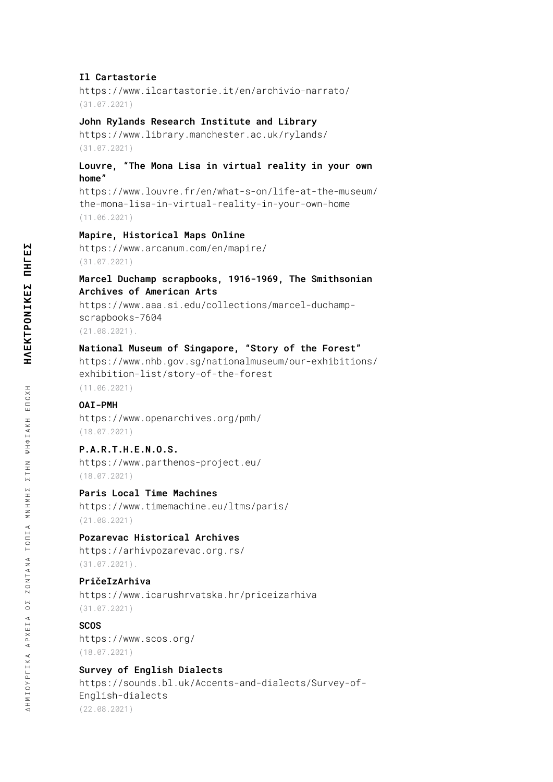#### **Il Cartastorie**

<https://www.ilcartastorie.it/en/archivio-narrato/> (31.07.2021)

#### **John Rylands Research Institute and Library**

<https://www.library.manchester.ac.uk/rylands/> (31.07.2021)

### **Louvre, "The Mona Lisa in virtual reality in your own home"**

https://www.louvre.fr/en/what-s-on/life-at-the-museum/ the-mona-lisa-in-virtual-reality-in-your-own-home (11.06.2021)

#### **Mapire, Historical Maps Online**

<https://www.arcanum.com/en/mapire/> (31.07.2021)

### **Marcel Duchamp scrapbooks, 1916-1969, The Smithsonian Archives of American Arts**

[https://www.aaa.si.edu/collections/marcel-duchamp](https://www.aaa.si.edu/collections/marcel-duchamp-scrapbooks-7604)[scrapbooks-7604](https://www.aaa.si.edu/collections/marcel-duchamp-scrapbooks-7604)

(21.08.2021).

#### **National Museum of Singapore, "Story of the Forest"**

[https://www.nhb.gov.sg/nationalmuseum/our-exhibitions/](https://www.nhb.gov.sg/nationalmuseum/our-exhibitions/exhibition-list/story-of-the-forest) [exhibition-list/story-of-the-forest](https://www.nhb.gov.sg/nationalmuseum/our-exhibitions/exhibition-list/story-of-the-forest)

(11.06.2021)

### **OAI-PMH**

<https://www.openarchives.org/pmh/> (18.07.2021)

#### **P.A.R.T.H.E.N.O.S.**

<https://www.parthenos-project.eu/> (18.07.2021)

### **Paris Local Time Machines**

<https://www.timemachine.eu/ltms/paris/> (21.08.2021)

### **Pozarevac Historical Archives**

<https://arhivpozarevac.org.rs/> (31.07.2021).

#### **PričeIzArhiva**

<https://www.icarushrvatska.hr/priceizarhiva> (31.07.2021)

### **SCOS**

<https://www.scos.org/> (18.07.2021)

### **Survey of English Dialects**

[https://sounds.bl.uk/Accents-and-dialects/Survey-of-](https://sounds.bl.uk/Accents-and-dialects/Survey-of-English-dialects)[English-dialects](https://sounds.bl.uk/Accents-and-dialects/Survey-of-English-dialects) (22.08.2021)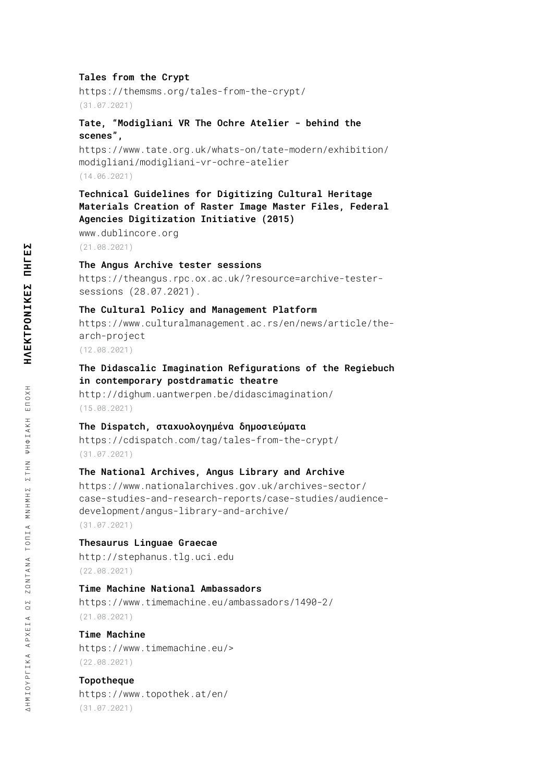#### **Tales from the Crypt**

<https://themsms.org/tales-from-the-crypt/> (31.07.2021)

### **Tate, "Modigliani VR The Ochre Atelier - behind the scenes",**

[https://www.tate.org.uk/whats-on/tate-modern/exhibition/](https://www.tate.org.uk/whats-on/tate-modern/exhibition/modigliani/modigliani-vr-ochre-atelier) [modigliani/modigliani-vr-ochre-atelier](https://www.tate.org.uk/whats-on/tate-modern/exhibition/modigliani/modigliani-vr-ochre-atelier) (14.06.2021)

# **Technical Guidelines for Digitizing Cultural Heritage Materials Creation of Raster Image Master Files, Federal Agencies Digitization Initiative (2015)**

[www.dublincore.org](http://www.dublincore.org)

(21.08.2021)

#### **The Angus Archive tester sessions**

[https://theangus.rpc.ox.ac.uk/?resource=archive-tester](https://theangus.rpc.ox.ac.uk/?resource=archive-tester-sessions)[sessions](https://theangus.rpc.ox.ac.uk/?resource=archive-tester-sessions) (28.07.2021).

#### **The Cultural Policy and Management Platform**

[https://www.culturalmanagement.ac.rs/en/news/article/the](https://www.culturalmanagement.ac.rs/en/news/article/the-arch-project)[arch-project](https://www.culturalmanagement.ac.rs/en/news/article/the-arch-project)

(12.08.2021)

### **The Didascalic Imagination Refigurations of the Regiebuch in contemporary postdramatic theatre**

<http://dighum.uantwerpen.be/didascimagination/> (15.08.2021)

#### **The Dispatch, σταχυολογημένα δημοσιεύματα**

<https://cdispatch.com/tag/tales-from-the-crypt/> (31.07.2021)

### **The National Archives, Angus Library and Archive**

[https://www.nationalarchives.gov.uk/archives-sector/](https://www.nationalarchives.gov.uk/archives-sector/case-studies-and-research-reports/case-studies/audience-development/angus-library-and-archive/) [case-studies-and-research-reports/case-studies/audience](https://www.nationalarchives.gov.uk/archives-sector/case-studies-and-research-reports/case-studies/audience-development/angus-library-and-archive/)[development/angus-library-and-archive/](https://www.nationalarchives.gov.uk/archives-sector/case-studies-and-research-reports/case-studies/audience-development/angus-library-and-archive/) (31.07.2021)

#### **Thesaurus Linguae Graecae**

<http://stephanus.tlg.uci.edu> (22.08.2021)

#### **Time Machine National Ambassadors**

<https://www.timemachine.eu/ambassadors/1490-2/> (21.08.2021)

# **Time Machine**

[https://www.timemachine.eu/>](https://www.timemachine.eu/) (22.08.2021)

## **Topotheque**

<https://www.topothek.at/en/> (31.07.2021)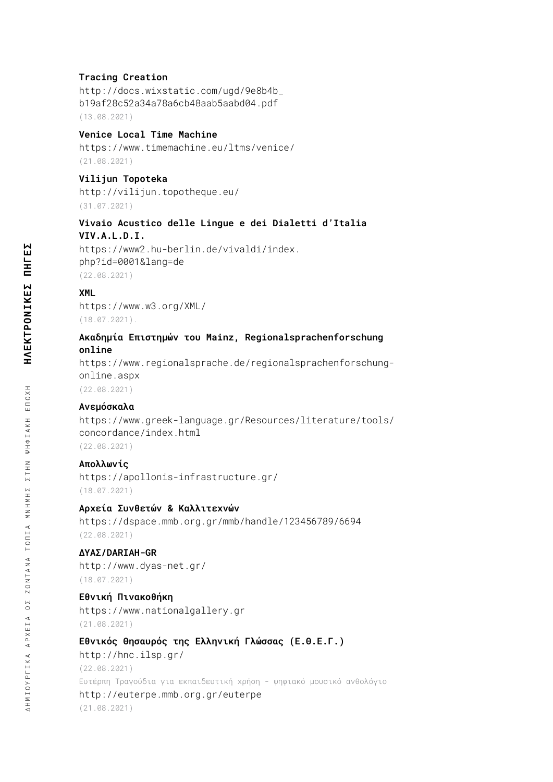#### **Tracing Creation**

[http://docs.wixstatic.com/ugd/9e8b4b\\_](http://docs.wixstatic.com/ugd/9e8b4b_b19af28c52a34a78a6cb48aab5aabd04.pdf) [b19af28c52a34a78a6cb48aab5aabd04.pdf](http://docs.wixstatic.com/ugd/9e8b4b_b19af28c52a34a78a6cb48aab5aabd04.pdf) (13.08.2021)

#### **Venice Local Time Machine**

<https://www.timemachine.eu/ltms/venice/> (21.08.2021)

### **Vilijun Topoteka**

<http://vilijun.topotheque.eu/> (31.07.2021)

#### **Vivaio Acustico delle Lingue e dei Dialetti d'Italia VIV.A.L.D.I.**

[https://www2.hu-berlin.de/vivaldi/index.](https://www2.hu-berlin.de/vivaldi/index.php?id=0001&lang=de) [php?id=0001&lang=de](https://www2.hu-berlin.de/vivaldi/index.php?id=0001&lang=de) (22.08.2021)

### **XML**

<https://www.w3.org/XML/> (18.07.2021).

### **Ακαδημία Επιστημών του Mainz, Regionalsprachenforschung online**

[https://www.regionalsprache.de/regionalsprachenforschung](https://www.regionalsprache.de/regionalsprachenforschung-online.aspx)[online.aspx](https://www.regionalsprache.de/regionalsprachenforschung-online.aspx)

(22.08.2021)

### **Ανεμόσκαλα**

[https://www.greek-language.gr/Resources/literature/tools/](https://www.greek-language.gr/Resources/literature/tools/concordance/index.html) [concordance/index.html](https://www.greek-language.gr/Resources/literature/tools/concordance/index.html) (22.08.2021)

#### **Απολλωνίς**

<https://apollonis-infrastructure.gr/> (18.07.2021)

#### **Αρχεία Συνθετών & Καλλιτεχνών**

<https://dspace.mmb.org.gr/mmb/handle/123456789/6694> (22.08.2021)

# **ΔΥΑΣ/DARIAH-GR**

<http://www.dyas-net.gr/> (18.07.2021)

### **Εθνική Πινακοθήκη**

<https://www.nationalgallery.gr> (21.08.2021)

### **Εθνικός Θησαυρός της Ελληνική Γλώσσας (Ε.Θ.Ε.Γ.)**

<http://hnc.ilsp.gr/> (22.08.2021) Ευτέρπη Τραγούδια για εκπαιδευτική χρήση - ψηφιακό μουσικό ανθολόγιο <http://euterpe.mmb.org.gr/euterpe> (21.08.2021)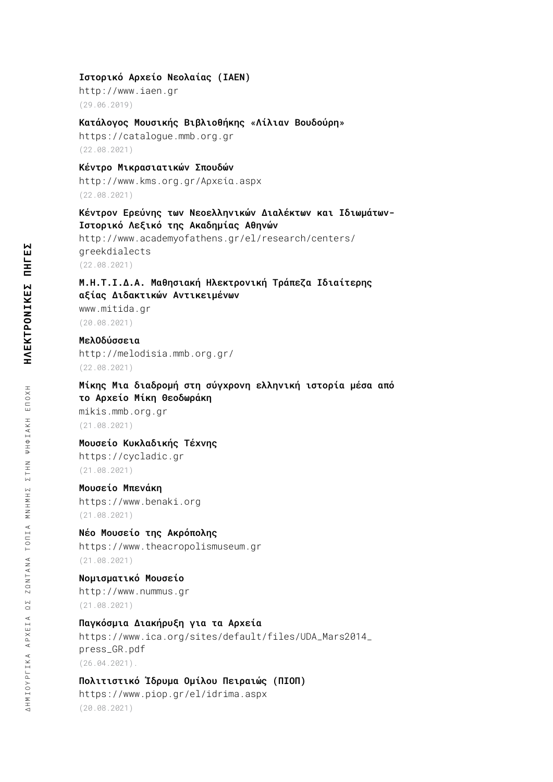#### **Ιστορικό Αρχείο Νεολαίας (ΙΑΕΝ)**

<http://www.iaen.gr> (29.06.2019)

#### **Κατάλογος Μουσικής Βιβλιοθήκης «Λίλιαν Βουδούρη»**

<https://catalogue.mmb.org.gr> (22.08.2021)

# **Κέντρο Μικρασιατικών Σπουδών**

<http://www.kms.org.gr/Αρχεία.aspx> (22.08.2021)

### **Κέντρον Ερεύνης των Νεοελληνικών Διαλέκτων και Ιδιωμάτων-Ιστορικό Λεξικό της Ακαδημίας Αθηνών**

[http://www.academyofathens.gr/el/research/centers/](http://www.academyofathens.gr/el/research/centers/greekdialects) [greekdialects](http://www.academyofathens.gr/el/research/centers/greekdialects) (22.08.2021)

# **Μ.Η.Τ.Ι.Δ.Α. Μαθησιακή Ηλεκτρονική Τράπεζα Ιδιαίτερης αξίας Διδακτικών Αντικειμένων**

[www.mitida.gr](http://www.mitida.gr) (20.08.2021)

### **ΜελΟδύσσεια**

<http://melodisia.mmb.org.gr/> (22.08.2021)

### **Μίκης Μια διαδρομή στη σύγχρονη ελληνική ιστορία μέσα από το Αρχείο Μίκη Θεοδωράκη**

[mikis.mmb.org.gr](http://mikis.mmb.org.gr/) (21.08.2021)

## **Μουσείο Κυκλαδικής Τέχνης**

[https://cycladic.gr](https://cycladic.gr/) (21.08.2021)

# **Μουσείο Μπενάκη**

<https://www.benaki.org> (21.08.2021)

# **Νέο Μουσείο της Ακρόπολης**

<https://www.theacropolismuseum.gr> (21.08.2021)

#### **Νομισματικό Μουσείο**

<http://www.nummus.gr> (21.08.2021)

# **Παγκόσμια Διακήρυξη για τα Αρχεία**

[https://www.ica.org/sites/default/files/UDA\\_Mars2014\\_](https://www.ica.org/sites/default/files/UDA_Mars2014_press_GR.pdf) [press\\_GR.pdf](https://www.ica.org/sites/default/files/UDA_Mars2014_press_GR.pdf) (26.04.2021).

## **Πολιτιστικό Ίδρυμα Ομίλου Πειραιώς (ΠΙΟΠ)**

<https://www.piop.gr/el/idrima.aspx> (20.08.2021)